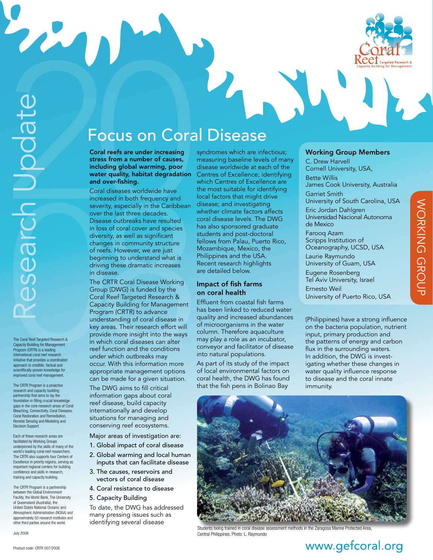

R

The Coral Reef Targeted Research & Capacity Building for Management Program (CRTR) is a leading international coral reef research initiative that provides a coordinated approach to credible, factual and scientifically-proven knowledge for improved coral reef management.

The CRTR Program is a proactive research and capacity building partnership that aims to lay the foundation in filling crucial knowledge gaps in the core research areas of Coral Bleaching, Connectivity, Coral Diseases, Coral Restoration and Remediation, Remote Sensing and Modeling and Decision Support.

Each of these research areas are facilitated by Working Groups underpinned by the skills of many of the world's leading coral reef researchers. The CRTR also supports four Centers of Excellence in priority regions, serving as important regional centers for building confidence and skills in research, training and capacity building.

The CRTR Program is a partnership between the Global Environment Facility, the World Bank, The University of Queensland (Australia), the United States National Oceanic and Atmospheric Administration (NOAA) and approximately 50 research institutes and other third parties around the world.

July 2008

# Focus on Coral Disease

Coral reefs are under increasing stress from a number of causes, including global warming, poor water quality, habitat degradation and over-fishing.

Coral diseases worldwide have increased in both frequency and severity, especially in the Caribbean over the last three decades. Disease outbreaks have resulted in loss of coral cover and species diversity, as well as significant changes in community structure of reefs. However, we are just beginning to understand what is driving these dramatic increases in disease.

The CRTR Coral Disease Working Group (DWG) is funded by the Coral Reef Targeted Research & Capacity Building for Management Program (CRTR) to advance understanding of coral disease in key areas. Their research effort will provide more insight into the ways in which coral diseases can alter reef function and the conditions under which outbreaks may occur. With this information more appropriate management options can be made for a given situation.

The DW G aims to fill critical information gaps about coral reef disease, build capacity internationally and develop situations for managing and conserving reef ecosystems.

Major areas of investigation are:

- 1. Global impact of coral disease
- 2. Global warming and local human inputs that can facilitate disease
- 3. The causes, reservoirs and vectors of coral disease
- 4. Coral resistance to disease
- 5. Capacity Building

To date, the DW G has addressed many pressing issues such as identifying several disease

syndromes which are infectious; measuring baseline levels of many disease worldwide at each of the Centres of Excellence; identifying which Centres of Excellence are the most suitable for identifying local factors that might drive disease; and investigating whether climate factors affects coral disease levels. The DW G has also sponsored graduate students and post-doctoral fellows from Palau, Puerto Rico, Mozambique, Mexico, the Philippines and the USA. Recent research highlights are detailed below.

#### Impact of fish farms on coral health

Effluent from coastal fish farms has been linked to reduced water quality and increased abundances of microorganisms in the water column. Therefore aquaculture may play a role as an incubator, conveyor and facilitator of disease into natural populations.

As part of its study of the impact of local environmental factors on coral health, the DW G has found that the fish pens in Bolinao Bay

#### Working Group Members

C. Drew Harvell Cornell University, USA, Bette Willis James Cook University, Australia Garriet Smith University of South Carolina, USA Eric Jordan Dahlgren Universidad Nacional Autonoma de Mexico Farooq Azam Scripps Institution of Oceanography, UCSD, USA Laurie Raymundo University of Guam, USA Eugene Rosenberg Tel Aviv University, Israel Ernesto Weil University of Puerto Rico, USA

Working Group

**NORKING GROUP** 

( Philippines) have a strong influence on the bacteria population, nutrient input, primary production and the patterns of energy and carbon<br>flux in the surrounding waters. In addition, the DWG is investigating whether these changes in water quality influence response to disease and the coral innate immunity.



Students being trained in coral disease assessment methods in the Zaragosa Marine Protected Are Central Philippines. Photo: L. Raymundo

# www.gefcoral.org